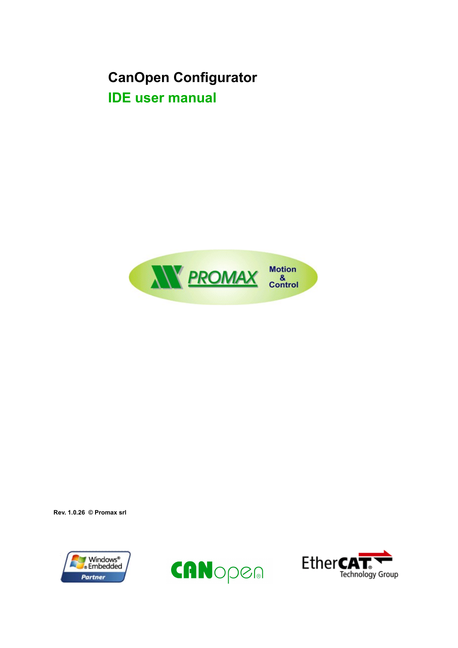# **CanOpen Configurator IDE user manual**



**Rev. 1.0.26 © Promax srl**





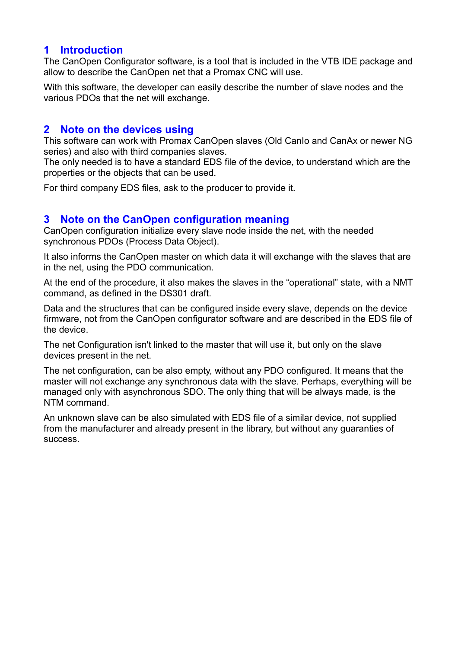# **1 Introduction**

The CanOpen Configurator software, is a tool that is included in the VTB IDE package and allow to describe the CanOpen net that a Promax CNC will use.

With this software, the developer can easily describe the number of slave nodes and the various PDOs that the net will exchange.

# **2 Note on the devices using**

This software can work with Promax CanOpen slaves (Old CanIo and CanAx or newer NG series) and also with third companies slaves.

The only needed is to have a standard EDS file of the device, to understand which are the properties or the objects that can be used.

For third company EDS files, ask to the producer to provide it.

## **3 Note on the CanOpen configuration meaning**

CanOpen configuration initialize every slave node inside the net, with the needed synchronous PDOs (Process Data Object).

It also informs the CanOpen master on which data it will exchange with the slaves that are in the net, using the PDO communication.

At the end of the procedure, it also makes the slaves in the "operational" state, with a NMT command, as defined in the DS301 draft.

Data and the structures that can be configured inside every slave, depends on the device firmware, not from the CanOpen configurator software and are described in the EDS file of the device.

The net Configuration isn't linked to the master that will use it, but only on the slave devices present in the net.

The net configuration, can be also empty, without any PDO configured. It means that the master will not exchange any synchronous data with the slave. Perhaps, everything will be managed only with asynchronous SDO. The only thing that will be always made, is the NTM command.

An unknown slave can be also simulated with EDS file of a similar device, not supplied from the manufacturer and already present in the library, but without any guaranties of success.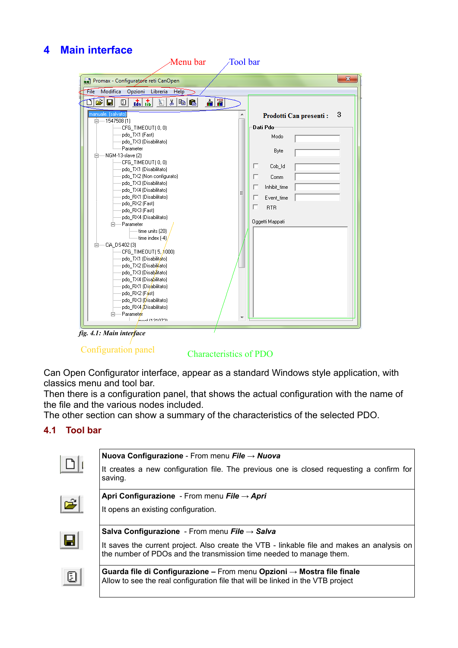# **4 Main interface**



*fig. 4.1: Main interface*

### Configuration panel Characteristics of PDO

Can Open Configurator interface, appear as a standard Windows style application, with classics menu and tool bar.

Then there is a configuration panel, that shows the actual configuration with the name of the file and the various nodes included.

The other section can show a summary of the characteristics of the selected PDO.

#### <span id="page-2-0"></span>**4.1 Tool bar**

|                | Nuova Configurazione - From menu File $\rightarrow$ Nuova                                                                                                         |
|----------------|-------------------------------------------------------------------------------------------------------------------------------------------------------------------|
|                | It creates a new configuration file. The previous one is closed requesting a confirm for<br>saving.                                                               |
|                | Apri Configurazione - From menu File $\rightarrow$ Apri                                                                                                           |
| $ \mathbf{z} $ | It opens an existing configuration.                                                                                                                               |
|                | <b>Salva Configurazione</b> - From menu File $\rightarrow$ Salva                                                                                                  |
| Н              | It saves the current project. Also create the VTB - linkable file and makes an analysis on<br>the number of PDOs and the transmission time needed to manage them. |
| O              | Guarda file di Configurazione – From menu Opzioni $\rightarrow$ Mostra file finale                                                                                |
|                | Allow to see the real configuration file that will be linked in the VTB project                                                                                   |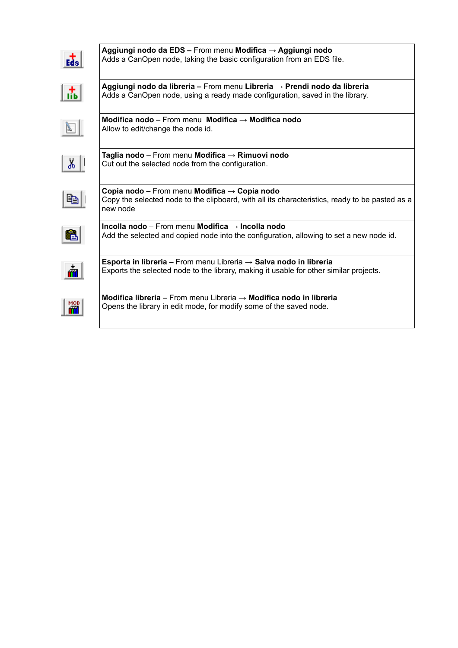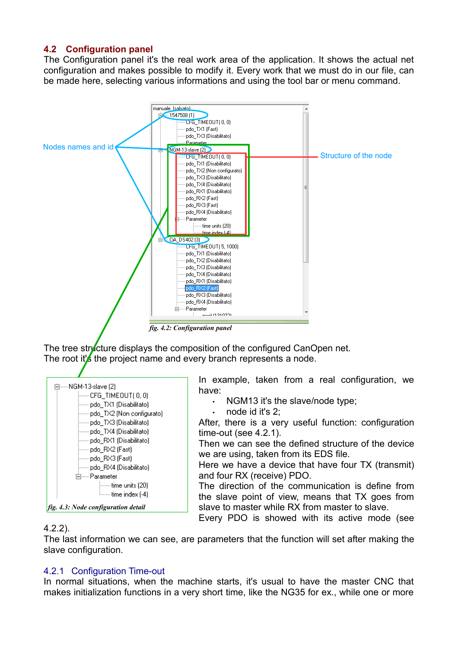#### **4.2 Configuration panel**

The Configuration panel it's the real work area of the application. It shows the actual net configuration and makes possible to modify it. Every work that we must do in our file, can be made here, selecting various informations and using the tool bar or menu command.



The tree structure displays the composition of the configured CanOpen net. The root it's the project name and every branch represents a node.



In example, taken from a real configuration, we have:

- NGM13 it's the slave/node type;
- node id it's 2:

After, there is a very useful function: configuration time-out (see [4.2.1\)](#page-4-0).

Then we can see the defined structure of the device we are using, taken from its EDS file.

Here we have a device that have four TX (transmit) and four RX (receive) PDO.

The direction of the communication is define from the slave point of view, means that TX goes from slave to master while RX from master to slave.

Every PDO is showed with its active mode (see

#### [4.2.2\)](#page-5-0).

The last information we can see, are parameters that the function will set after making the slave configuration.

#### <span id="page-4-0"></span>4.2.1 Configuration Time-out

In normal situations, when the machine starts, it's usual to have the master CNC that makes initialization functions in a very short time, like the NG35 for ex., while one or more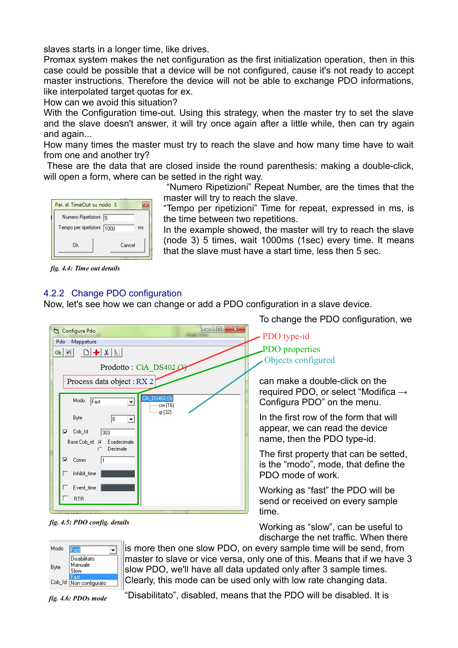slaves starts in a longer time, like drives.

Promax system makes the net configuration as the first initialization operation, then in this case could be possible that a device will be not configured, cause it's not ready to accept master instructions. Therefore the device will not be able to exchange PDO informations, like interpolated target quotas for ex.

How can we avoid this situation?

With the Configuration time-out. Using this strategy, when the master try to set the slave and the slave doesn't answer, it will try once again after a little while, then can try again and again...

How many times the master must try to reach the slave and how many time have to wait from one and another try?

These are the data that are closed inside the round parenthesis: making a double-click, will open a form, where can be setted in the right way.

> "Numero Ripetizioni" Repeat Number, are the times that the master will try to reach the slave.

| Par. di TimeOut su nodo 3                          |        |
|----------------------------------------------------|--------|
| Numero Ripetizioni 5<br>Tempo per ripetizioni 1000 | ms     |
| Ωk                                                 | Cancel |

"Tempo per ripetizioni" Time for repeat, expressed in ms, is the time between two repetitions.

In the example showed, the master will try to reach the slave (node 3) 5 times, wait 1000ms (1sec) every time. It means that the slave must have a start time, less then 5 sec.

*fig. 4.4: Time out details*

#### <span id="page-5-0"></span>4.2.2 Change PDO configuration

Now, let's see how we can change or add a PDO configuration in a slave device.

| Pdo<br>Mappature<br>$\Box + 1 \& \Box$<br>$0k$ $\sigma$<br>Prodotto: CiA DS402 (3)<br>Process data object: RX 2<br>CiA_DS402 (3)<br>Modo<br>Fast<br>$=$ $\text{cw}(16)$<br><b>iman</b> qi (32)<br>Byte<br>6<br>츠<br>Cob_Id<br>⊽<br>303 |
|----------------------------------------------------------------------------------------------------------------------------------------------------------------------------------------------------------------------------------------|
|                                                                                                                                                                                                                                        |
|                                                                                                                                                                                                                                        |
|                                                                                                                                                                                                                                        |
|                                                                                                                                                                                                                                        |
|                                                                                                                                                                                                                                        |
|                                                                                                                                                                                                                                        |
|                                                                                                                                                                                                                                        |
| Base Cob_id: ( Esadecimale<br>C Decimale                                                                                                                                                                                               |
| ⊽<br>Comm<br>11                                                                                                                                                                                                                        |
| Inhibit_time                                                                                                                                                                                                                           |
| Event_time                                                                                                                                                                                                                             |
| <b>RTR</b>                                                                                                                                                                                                                             |

*fig. 4.5: PDO config. details*

To change the PDO configuration, we

PDO properties Objects configured PDO type-id

can make a double-click on the required PDO, or select "Modifica  $\rightarrow$ Configura PDO" on the menu.

In the first row of the form that will appear, we can read the device name, then the PDO type-id.

The first property that can be setted, is the "modo", mode, that define the PDO mode of work.

Working as "fast" the PDO will be send or received on every sample time.

Working as "slow", can be useful to discharge the net traffic. When there



is more then one slow PDO, on every sample time will be send, from master to slave or vice versa, only one of this. Means that if we have 3 slow PDO, we'll have all data updated only after 3 sample times. Clearly, this mode can be used only with low rate changing data.

*fig. 4.6: PDOs mode*

"Disabilitato", disabled, means that the PDO will be disabled. It is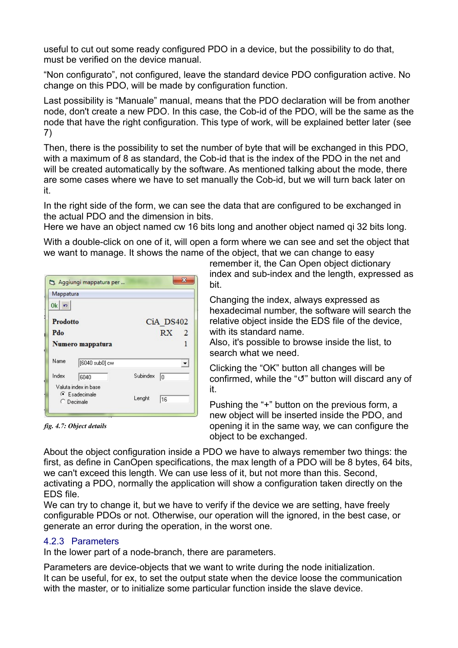useful to cut out some ready configured PDO in a device, but the possibility to do that, must be verified on the device manual.

"Non configurato", not configured, leave the standard device PDO configuration active. No change on this PDO, will be made by configuration function.

Last possibility is "Manuale" manual, means that the PDO declaration will be from another node, don't create a new PDO. In this case, the Cob-id of the PDO, will be the same as the node that have the right configuration. This type of work, will be explained better later (se[e](#page-13-0) [7\)](#page-13-0)

Then, there is the possibility to set the number of byte that will be exchanged in this PDO, with a maximum of 8 as standard, the Cob-id that is the index of the PDO in the net and will be created automatically by the software. As mentioned talking about the mode, there are some cases where we have to set manually the Cob-id, but we will turn back later on it.

In the right side of the form, we can see the data that are configured to be exchanged in the actual PDO and the dimension in bits.

Here we have an object named cw 16 bits long and another object named qi 32 bits long.

With a double-click on one of it, will open a form where we can see and set the object that we want to manage. It shows the name of the object, that we can change to easy

| Mappatura       |                                                                      |          |                 |                          |
|-----------------|----------------------------------------------------------------------|----------|-----------------|--------------------------|
| $0k$ $n$        |                                                                      |          |                 |                          |
| <b>Prodotto</b> |                                                                      |          | CiA DS402       |                          |
| Pdo             |                                                                      |          | RX <sub>2</sub> |                          |
|                 | Numero mappatura                                                     |          |                 |                          |
| Name            | [6040 sub0] cw                                                       |          |                 | $\overline{\phantom{a}}$ |
| Index           | 6040                                                                 | Subindex | 10              |                          |
|                 | Valuta index in base<br>$\bullet$ Esadecimale<br>$\bigcirc$ Decimale | Lenght   | 16              |                          |

*fig. 4.7: Object details*

remember it, the Can Open object dictionary index and sub-index and the length, expressed as bit.

Changing the index, always expressed as hexadecimal number, the software will search the relative object inside the EDS file of the device, with its standard name.

Also, it's possible to browse inside the list, to search what we need.

Clicking the "OK" button all changes will be confirmed, while the " $\sigma$ " button will discard any of it.

Pushing the "+" button on the previous form, a new object will be inserted inside the PDO, and opening it in the same way, we can configure the object to be exchanged.

About the object configuration inside a PDO we have to always remember two things: the first, as define in CanOpen specifications, the max length of a PDO will be 8 bytes, 64 bits, we can't exceed this length. We can use less of it, but not more than this. Second, activating a PDO, normally the application will show a configuration taken directly on the EDS file.

We can try to change it, but we have to verify if the device we are setting, have freely configurable PDOs or not. Otherwise, our operation will the ignored, in the best case, or generate an error during the operation, in the worst one.

#### 4.2.3 Parameters

In the lower part of a node-branch, there are parameters.

Parameters are device-objects that we want to write during the node initialization. It can be useful, for ex, to set the output state when the device loose the communication with the master, or to initialize some particular function inside the slave device.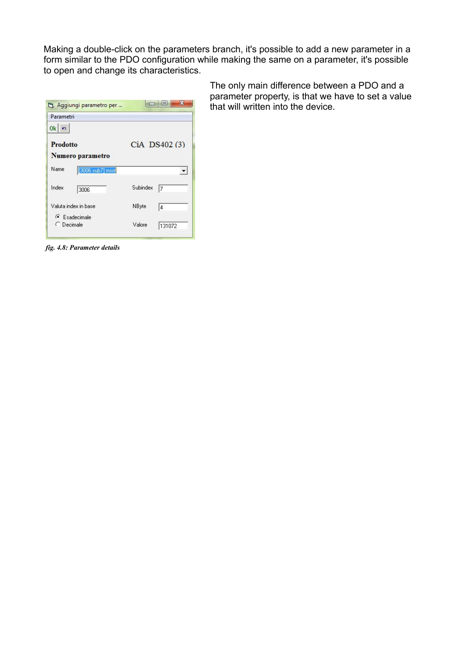Making a double-click on the parameters branch, it's possible to add a new parameter in a form similar to the PDO configuration while making the same on a parameter, it's possible to open and change its characteristics.

| Parametri                                        |          |               |
|--------------------------------------------------|----------|---------------|
| 0k<br>in.<br><b>Prodotto</b><br>Numero parametro |          | CiA DS402 (3) |
| Name<br>[3006 sub7] msof                         |          |               |
| Index<br>3006                                    | Subindex | 7             |
| Valuta index in base                             | NByte    | 4             |
| $\bullet$ Esadecimale<br>C Decimale              | Valore   | 131072        |

The only main difference between a PDO and a parameter property, is that we have to set a value that will written into the device.

*fig. 4.8: Parameter details*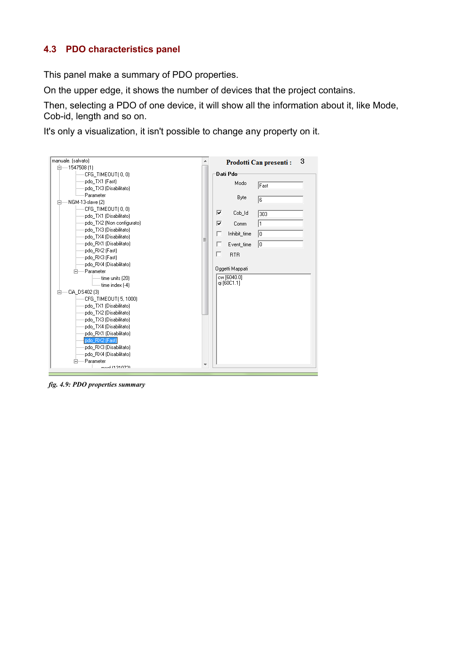### **4.3 PDO characteristics panel**

This panel make a summary of PDO properties.

On the upper edge, it shows the number of devices that the project contains.

Then, selecting a PDO of one device, it will show all the information about it, like Mode, Cob-id, length and so on.

It's only a visualization, it isn't possible to change any property on it.



*fig. 4.9: PDO properties summary*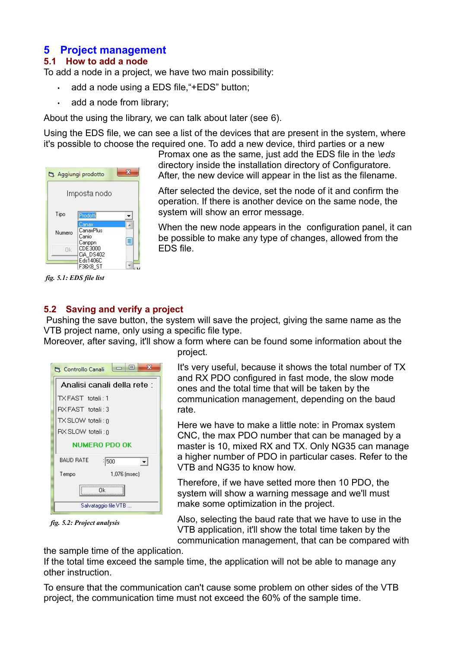# **5 Project management**

#### **5.1 How to add a node**

To add a node in a project, we have two main possibility:

- add a node using a EDS file, "+EDS" button;
- add a node from library;

About the using the library, we can talk about later (see [6\)](#page-11-0).

Using the EDS file, we can see a list of the devices that are present in the system, where it's possible to choose the required one. To add a new device, third parties or a new



*fig. 5.1: EDS file list*

Promax one as the same, just add the EDS file in the *\eds* directory inside the installation directory of Configuratore. After, the new device will appear in the list as the filename.

After selected the device, set the node of it and confirm the operation. If there is another device on the same node, the system will show an error message.

When the new node appears in the configuration panel, it can be possible to make any type of changes, allowed from the EDS file.

#### **5.2 Saving and verify a project**

Pushing the save button, the system will save the project, giving the same name as the VTB project name, only using a specific file type.

Moreover, after saving, it'll show a form where can be found some information about the project.

| $\Box$ $\Box$<br>x<br>Controllo Canali |
|----------------------------------------|
| Analisi canali della rete :            |
| TX FAST totali: 1                      |
| RX FAST totali: 3                      |
| TX SLOW totali : ก                     |
| RX SLOW totali: 0                      |
| <b>NUMERO PDO OK</b>                   |
| <b>BAUD RATE</b><br>1500               |
| 1,076 (msec)<br>Tempo                  |
| Πk                                     |
| Salvataggio file VTB                   |

*fig. 5.2: Project analysis*

It's very useful, because it shows the total number of TX and RX PDO configured in fast mode, the slow mode ones and the total time that will be taken by the communication management, depending on the baud rate.

Here we have to make a little note: in Promax system CNC, the max PDO number that can be managed by a master is 10, mixed RX and TX. Only NG35 can manage a higher number of PDO in particular cases. Refer to the VTB and NG35 to know how.

Therefore, if we have setted more then 10 PDO, the system will show a warning message and we'll must make some optimization in the project.

Also, selecting the baud rate that we have to use in the VTB application, it'll show the total time taken by the communication management, that can be compared with

the sample time of the application.

If the total time exceed the sample time, the application will not be able to manage any other instruction.

To ensure that the communication can't cause some problem on other sides of the VTB project, the communication time must not exceed the 60% of the sample time.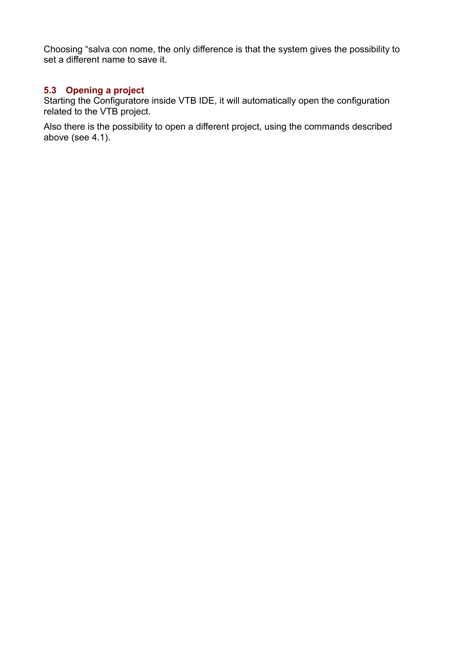Choosing "salva con nome, the only difference is that the system gives the possibility to set a different name to save it.

#### **5.3 Opening a project**

Starting the Configuratore inside VTB IDE, it will automatically open the configuration related to the VTB project.

Also there is the possibility to open a different project, using the commands described above (see [4.1\)](#page-2-0).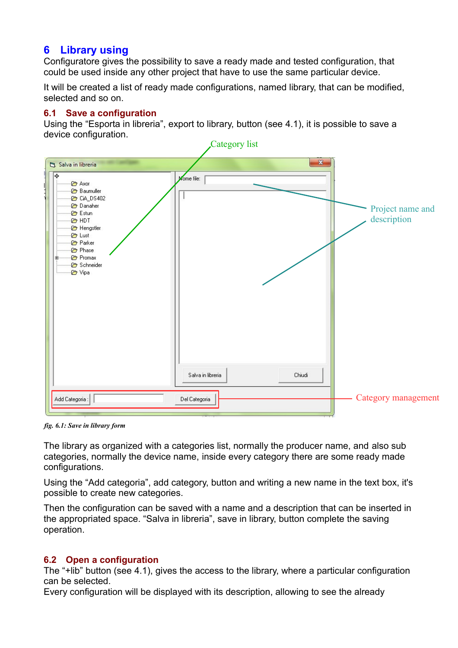# <span id="page-11-0"></span>**6 Library using**

Configuratore gives the possibility to save a ready made and tested configuration, that could be used inside any other project that have to use the same particular device.

It will be created a list of ready made configurations, named library, that can be modified, selected and so on.

#### **6.1 Save a configuration**

Using the "Esporta in libreria", export to library, button (see [4.1\)](#page-2-0), it is possible to save a device configuration.



*fig. 6.1: Save in library form*

The library as organized with a categories list, normally the producer name, and also sub categories, normally the device name, inside every category there are some ready made configurations.

Using the "Add categoria", add category, button and writing a new name in the text box, it's possible to create new categories.

Then the configuration can be saved with a name and a description that can be inserted in the appropriated space. "Salva in libreria", save in library, button complete the saving operation.

#### **6.2 Open a configuration**

The "+lib" button (see [4.1\)](#page-2-0), gives the access to the library, where a particular configuration can be selected.

Every configuration will be displayed with its description, allowing to see the already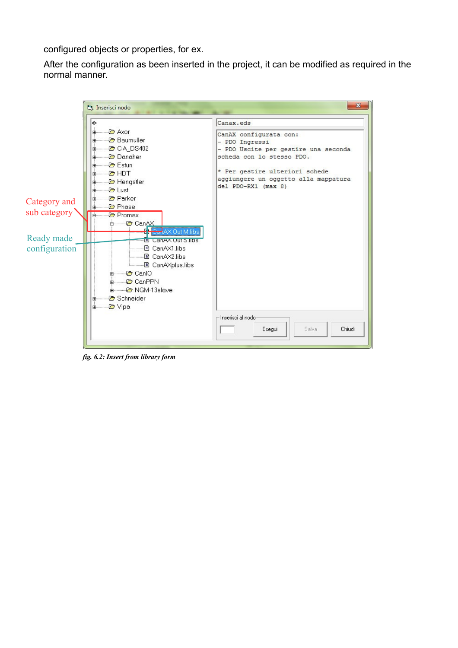configured objects or properties, for ex.

After the configuration as been inserted in the project, it can be modified as required in the normal manner.



*fig. 6.2: Insert from library form*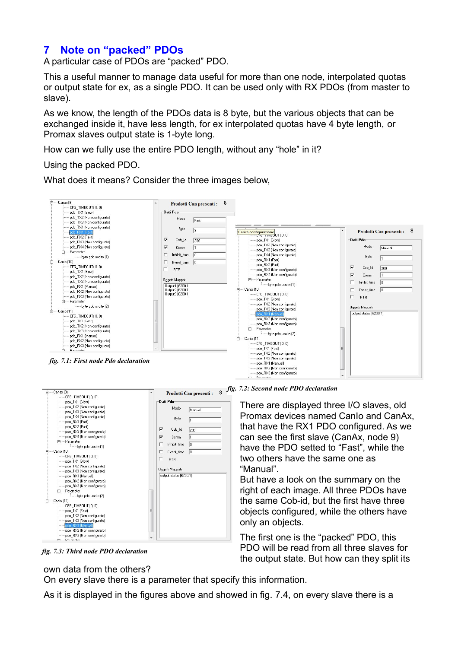# <span id="page-13-0"></span>**7 Note on "packed" PDOs**

A particular case of PDOs are "packed" PDO.

This a useful manner to manage data useful for more than one node, interpolated quotas or output state for ex, as a single PDO. It can be used only with RX PDOs (from master to slave).

As we know, the length of the PDOs data is 8 byte, but the various objects that can be exchanged inside it, have less length, for ex interpolated quotas have 4 byte length, or Promax slaves output state is 1-byte long.

How can we fully use the entire PDO length, without any "hole" in it?

#### Using the packed PDO.

What does it means? Consider the three images below,





*fig. 7.2: Second node PDO declaration*

There are displayed three I/O slaves, old Promax devices named Canio and CanAx, that have the RX1 PDO configured. As we can see the first slave (CanAx, node 9) have the PDO setted to "Fast", while the two others have the same one as "Manual".

But have a look on the summary on the right of each image. All three PDOs have the same Cob-id, but the first have three objects configured, while the others have only an objects.

The first one is the "packed" PDO, this PDO will be read from all three slaves for the output state. But how can they split its

*fig. 7.3: Third node PDO declaration*

#### own data from the others?

On every slave there is a parameter that specify this information.

As it is displayed in the figures above and showed in fig. [7.4,](#page-14-0) on every slave there is a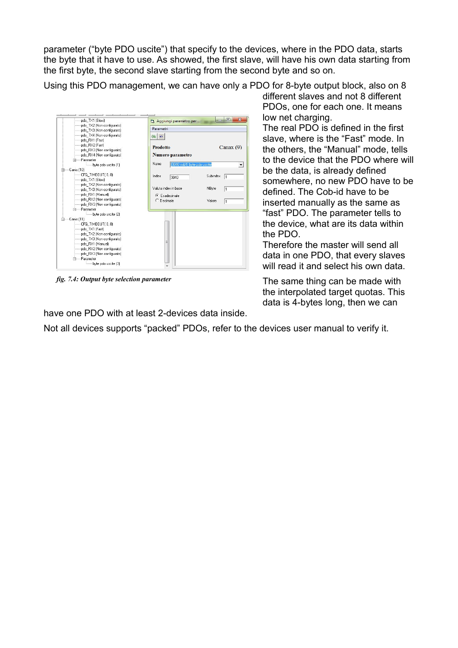parameter ("byte PDO uscite") that specify to the devices, where in the PDO data, starts the byte that it have to use. As showed, the first slave, will have his own data starting from the first byte, the second slave starting from the second byte and so on.

Using this PDO management, we can have only a PDO for 8-byte output block, also on 8



<span id="page-14-0"></span>*fig. 7.4: Output byte selection parameter*

different slaves and not 8 different PDOs, one for each one. It means low net charging.

The real PDO is defined in the first slave, where is the "Fast" mode. In the others, the "Manual" mode, tells to the device that the PDO where will be the data, is already defined somewhere, no new PDO have to be defined. The Cob-id have to be inserted manually as the same as "fast" PDO. The parameter tells to the device, what are its data within the PDO.

Therefore the master will send all data in one PDO, that every slaves will read it and select his own data.

The same thing can be made with the interpolated target quotas. This data is 4-bytes long, then we can

have one PDO with at least 2-devices data inside.

Not all devices supports "packed" PDOs, refer to the devices user manual to verify it.